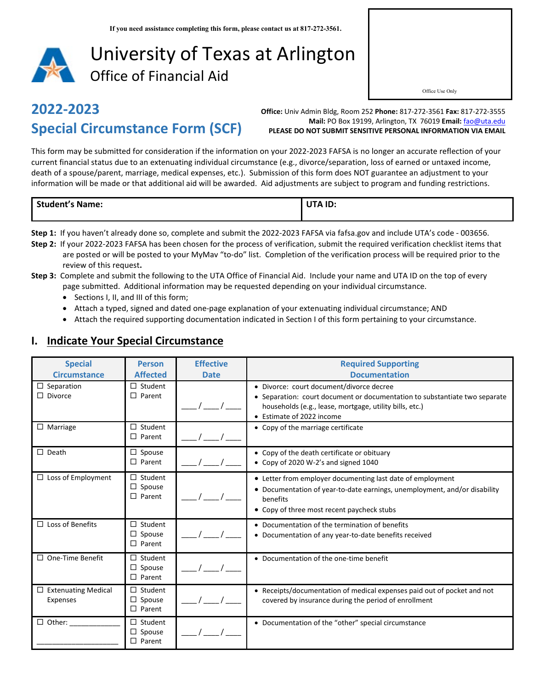

# **2022-2023 Special Circumstance Form (SCF)**

**Office:** Univ Admin Bldg, Room 252 **Phone:** 817-272-3561 **Fax:** 817-272-3555 **Mail:** PO Box 19199, Arlington, TX 76019 **Email:** [fao@uta.edu](mailto:fao@uta.edu) **PLEASE DO NOT SUBMIT SENSITIVE PERSONAL INFORMATION VIA EMAIL**

This form may be submitted for consideration if the information on your 2022-2023 FAFSA is no longer an accurate reflection of your current financial status due to an extenuating individual circumstance (e.g., divorce/separation, loss of earned or untaxed income, death of a spouse/parent, marriage, medical expenses, etc.). Submission of this form does NOT guarantee an adjustment to your information will be made or that additional aid will be awarded. Aid adjustments are subject to program and funding restrictions.

| <b>Student's Name:</b> | UTA ID: |
|------------------------|---------|
|                        |         |
|                        |         |

- **Step 1:** If you haven't already done so, complete and submit the 2022-2023 FAFSA via fafsa.gov and include UTA's code 003656.
- **Step 2:** If your 2022-2023 FAFSA has been chosen for the process of verification, submit the required verification checklist items that are posted or will be posted to your MyMav "to-do" list. Completion of the verification process will be required prior to the review of this request**.**
- **Step 3:** Complete and submit the following to the UTA Office of Financial Aid. Include your name and UTA ID on the top of every page submitted. Additional information may be requested depending on your individual circumstance.
	- Sections I, II, and III of this form;
	- Attach a typed, signed and dated one-page explanation of your extenuating individual circumstance; AND
	- Attach the required supporting documentation indicated in Section I of this form pertaining to your circumstance.

#### **I. Indicate Your Special Circumstance**

| <b>Special</b><br><b>Circumstance</b>  | <b>Person</b><br><b>Affected</b>                 | <b>Effective</b><br><b>Date</b> | <b>Required Supporting</b><br><b>Documentation</b>                                                                                                                                                             |
|----------------------------------------|--------------------------------------------------|---------------------------------|----------------------------------------------------------------------------------------------------------------------------------------------------------------------------------------------------------------|
| $\Box$ Separation<br>$\Box$ Divorce    | $\Box$ Student<br>$\Box$ Parent                  |                                 | · Divorce: court document/divorce decree<br>• Separation: court document or documentation to substantiate two separate<br>households (e.g., lease, mortgage, utility bills, etc.)<br>• Estimate of 2022 income |
| $\Box$ Marriage                        | $\Box$ Student<br>$\Box$ Parent                  |                                 | • Copy of the marriage certificate                                                                                                                                                                             |
| $\Box$ Death                           | $\Box$ Spouse<br>$\Box$ Parent                   |                                 | • Copy of the death certificate or obituary<br>• Copy of 2020 W-2's and signed 1040                                                                                                                            |
| $\Box$ Loss of Employment              | $\Box$ Student<br>$\Box$ Spouse<br>$\Box$ Parent |                                 | • Letter from employer documenting last date of employment<br>• Documentation of year-to-date earnings, unemployment, and/or disability<br>benefits<br>• Copy of three most recent paycheck stubs              |
| $\Box$ Loss of Benefits                | $\Box$ Student<br>$\Box$ Spouse<br>$\Box$ Parent |                                 | • Documentation of the termination of benefits<br>• Documentation of any year-to-date benefits received                                                                                                        |
| $\Box$ One-Time Benefit                | $\Box$ Student<br>$\Box$ Spouse<br>$\Box$ Parent |                                 | • Documentation of the one-time benefit                                                                                                                                                                        |
| $\Box$ Extenuating Medical<br>Expenses | $\Box$ Student<br>$\Box$ Spouse<br>$\Box$ Parent |                                 | • Receipts/documentation of medical expenses paid out of pocket and not<br>covered by insurance during the period of enrollment                                                                                |
| $\Box$ Other:                          | $\Box$ Student<br>$\Box$ Spouse<br>$\Box$ Parent |                                 | • Documentation of the "other" special circumstance                                                                                                                                                            |